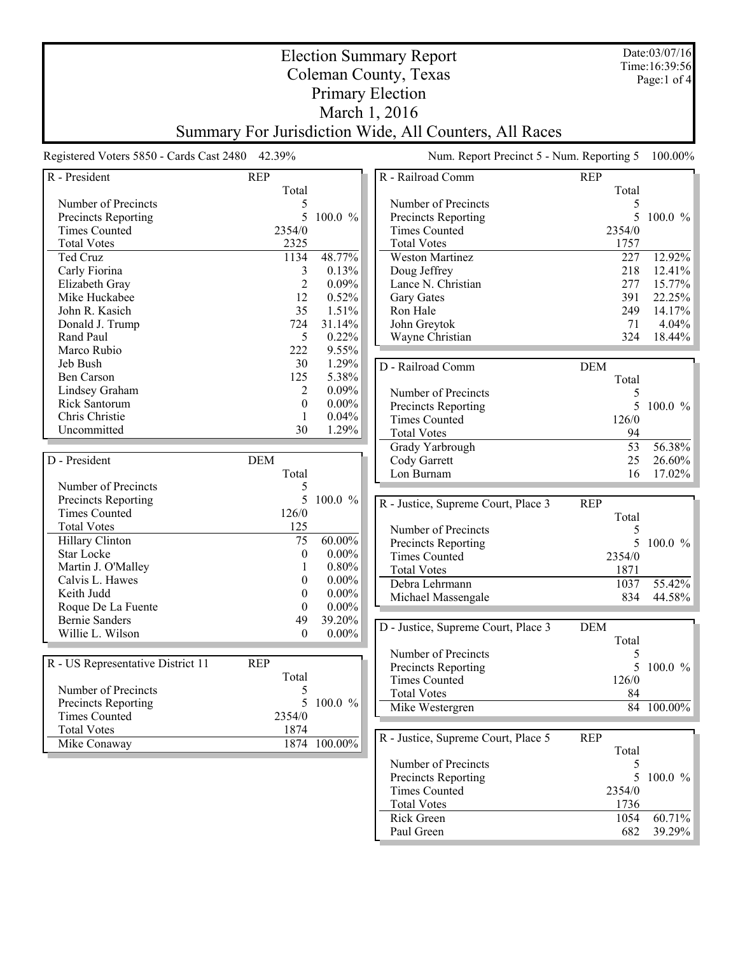| <b>Election Summary Report</b>                         |                                                 |                              |                                           |             | Date:03/07/16<br>Time: 16:39:56 |  |  |
|--------------------------------------------------------|-------------------------------------------------|------------------------------|-------------------------------------------|-------------|---------------------------------|--|--|
| Coleman County, Texas                                  |                                                 |                              |                                           |             | Page:1 of 4                     |  |  |
| <b>Primary Election</b>                                |                                                 |                              |                                           |             |                                 |  |  |
|                                                        |                                                 |                              |                                           |             |                                 |  |  |
| March 1, 2016                                          |                                                 |                              |                                           |             |                                 |  |  |
| Summary For Jurisdiction Wide, All Counters, All Races |                                                 |                              |                                           |             |                                 |  |  |
|                                                        | Registered Voters 5850 - Cards Cast 2480 42.39% |                              | Num. Report Precinct 5 - Num. Reporting 5 |             | 100.00%                         |  |  |
| R - President                                          | <b>REP</b>                                      |                              | R - Railroad Comm                         | <b>REP</b>  |                                 |  |  |
|                                                        | Total                                           |                              |                                           | Total       |                                 |  |  |
| Number of Precincts                                    |                                                 | 5                            | Number of Precincts                       | 5           |                                 |  |  |
| Precincts Reporting                                    |                                                 | 5<br>$100.0 \%$              | Precincts Reporting                       | 5           | $100.0 \%$                      |  |  |
| Times Counted                                          | 2354/0                                          |                              | Times Counted                             | 2354/0      |                                 |  |  |
| <b>Total Votes</b>                                     | 2325<br>1134                                    | 48.77%                       | <b>Total Votes</b>                        | 1757<br>227 | 12.92%                          |  |  |
| Ted Cruz<br>Carly Fiorina                              |                                                 | 0.13%<br>3                   | <b>Weston Martinez</b><br>Doug Jeffrey    | 218         | 12.41%                          |  |  |
| Elizabeth Gray                                         |                                                 | $\overline{2}$<br>0.09%      | Lance N. Christian                        | 277         | 15.77%                          |  |  |
| Mike Huckabee                                          | 12                                              | 0.52%                        | <b>Gary Gates</b>                         | 391         | 22.25%                          |  |  |
| John R. Kasich                                         | 35                                              | 1.51%                        | Ron Hale                                  | 249         | 14.17%                          |  |  |
| Donald J. Trump                                        | 724                                             | 31.14%                       | John Greytok                              | 71          | 4.04%                           |  |  |
| Rand Paul                                              |                                                 | 5<br>0.22%                   | Wayne Christian                           | 324         | 18.44%                          |  |  |
| Marco Rubio                                            | 222                                             | 9.55%                        |                                           |             |                                 |  |  |
| Jeb Bush                                               | 30                                              | 1.29%                        | D - Railroad Comm                         | <b>DEM</b>  |                                 |  |  |
| Ben Carson                                             | 125                                             | 5.38%                        |                                           | Total       |                                 |  |  |
| Lindsey Graham                                         |                                                 | 2<br>$0.09\%$                | Number of Precincts                       | 5           |                                 |  |  |
| Rick Santorum                                          |                                                 | $0.00\%$<br>$\theta$         | Precincts Reporting                       | 5           | 100.0 %                         |  |  |
| Chris Christie                                         |                                                 | 0.04%<br>1                   | <b>Times Counted</b>                      | 126/0       |                                 |  |  |
| Uncommitted                                            | 30                                              | 1.29%                        | <b>Total Votes</b>                        | 94          |                                 |  |  |
|                                                        |                                                 |                              | Grady Yarbrough                           | 53          | 56.38%                          |  |  |
| D - President                                          | <b>DEM</b>                                      |                              | Cody Garrett                              | 25          | 26.60%                          |  |  |
|                                                        | Total                                           |                              | Lon Burnam                                | 16          | 17.02%                          |  |  |
| Number of Precincts                                    |                                                 | 5                            |                                           |             |                                 |  |  |
| Precincts Reporting                                    |                                                 | 5 100.0 %                    | R - Justice, Supreme Court, Place 3       | <b>REP</b>  |                                 |  |  |
| <b>Times Counted</b>                                   | 126/0                                           |                              |                                           | Total       |                                 |  |  |
| <b>Total Votes</b>                                     | 125                                             |                              | Number of Precincts                       | 5           |                                 |  |  |
| Hillary Clinton                                        | 75                                              | 60.00%                       | Precincts Reporting                       | 5           | 100.0 %                         |  |  |
| <b>Star Locke</b>                                      |                                                 | $0.00\%$<br>$\boldsymbol{0}$ | <b>Times Counted</b>                      | 2354/0      |                                 |  |  |
| Martin J. O'Malley                                     |                                                 | $0.80\%$                     | <b>Total Votes</b>                        | 1871        |                                 |  |  |
| Calvis L. Hawes                                        |                                                 | $\theta$<br>$0.00\%$         | Debra Lehrmann                            | 1037        | 55.42%                          |  |  |
| Keith Judd                                             |                                                 | $0.00\%$<br>$\boldsymbol{0}$ | Michael Massengale                        | 834         | 44.58%                          |  |  |
| Roque De La Fuente                                     |                                                 | $0.00\%$<br>$\theta$         |                                           |             |                                 |  |  |
| <b>Bernie Sanders</b>                                  | 49                                              | 39.20%                       | D - Justice, Supreme Court, Place 3       | <b>DEM</b>  |                                 |  |  |
| Willie L. Wilson                                       |                                                 | $0.00\%$<br>$\boldsymbol{0}$ |                                           | Total       |                                 |  |  |
|                                                        |                                                 |                              | Number of Precincts                       | 5           |                                 |  |  |
| R - US Representative District 11                      | <b>REP</b>                                      |                              | Precincts Reporting                       | 5           | $100.0 \%$                      |  |  |
|                                                        | Total                                           |                              | <b>Times Counted</b>                      | 126/0       |                                 |  |  |
| Number of Precincts                                    |                                                 | 5                            | <b>Total Votes</b>                        | 84          |                                 |  |  |
| <b>Precincts Reporting</b>                             |                                                 | 5<br>100.0 %                 | Mike Westergren                           |             | 84 100.00%                      |  |  |
| <b>Times Counted</b>                                   | 2354/0                                          |                              |                                           |             |                                 |  |  |
| <b>Total Votes</b>                                     | 1874                                            |                              | R - Justice, Supreme Court, Place 5       | <b>REP</b>  |                                 |  |  |
| Mike Conaway                                           |                                                 | 1874 100.00%                 |                                           | Total       |                                 |  |  |
|                                                        |                                                 |                              | Number of Precincts                       | 5           |                                 |  |  |
|                                                        |                                                 |                              | Precincts Reporting                       | 5           | $100.0 \%$                      |  |  |
|                                                        |                                                 |                              | <b>Times Counted</b>                      | 2354/0      |                                 |  |  |
|                                                        |                                                 |                              | <b>Total Votes</b>                        | 1736        |                                 |  |  |
|                                                        |                                                 |                              | Rick Green                                | 1054        | 60.71%                          |  |  |

Rick Green 1054 60.71% Paul Green 682 39.29%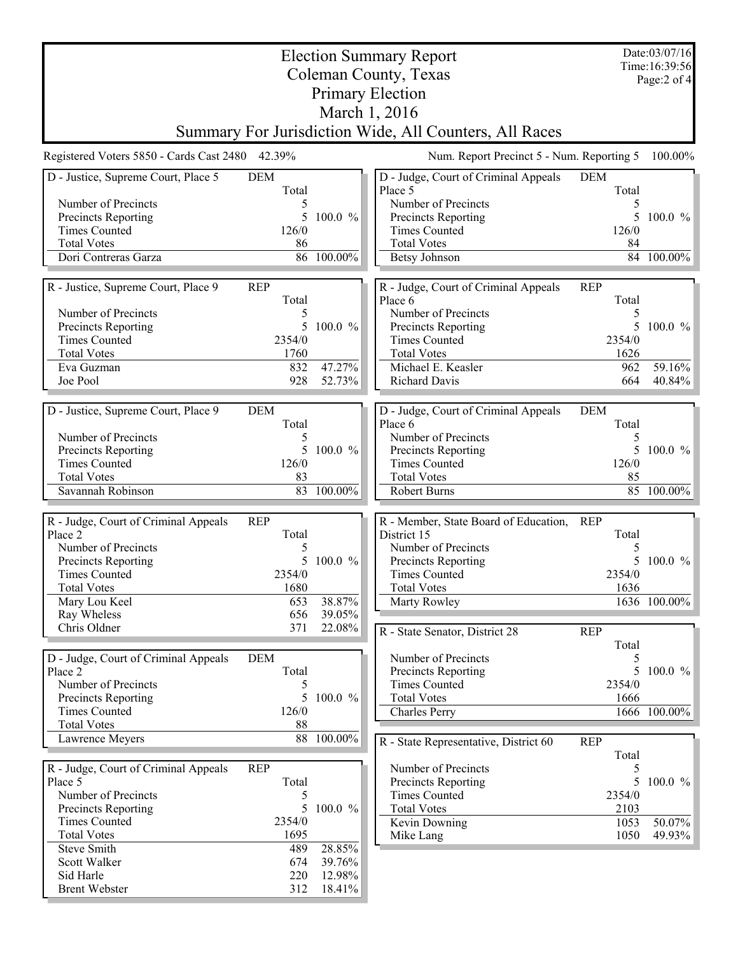| Date:03/07/16                                          |             |                  |                                                      |             |                                |  |  |
|--------------------------------------------------------|-------------|------------------|------------------------------------------------------|-------------|--------------------------------|--|--|
| <b>Election Summary Report</b>                         |             |                  |                                                      |             |                                |  |  |
|                                                        |             |                  | Coleman County, Texas                                |             | Time: 16:39:56<br>Page: 2 of 4 |  |  |
| <b>Primary Election</b>                                |             |                  |                                                      |             |                                |  |  |
| March 1, 2016                                          |             |                  |                                                      |             |                                |  |  |
| Summary For Jurisdiction Wide, All Counters, All Races |             |                  |                                                      |             |                                |  |  |
| Registered Voters 5850 - Cards Cast 2480 42.39%        |             |                  | Num. Report Precinct 5 - Num. Reporting 5<br>100.00% |             |                                |  |  |
| D - Justice, Supreme Court, Place 5                    | <b>DEM</b>  |                  | D - Judge, Court of Criminal Appeals                 | <b>DEM</b>  |                                |  |  |
|                                                        | Total       |                  | Place 5                                              | Total       |                                |  |  |
| Number of Precincts                                    |             |                  | Number of Precincts                                  | 5           |                                |  |  |
| Precincts Reporting                                    | 5           | 100.0 %          | Precincts Reporting                                  | 5           | 100.0 %                        |  |  |
| <b>Times Counted</b><br><b>Total Votes</b>             | 126/0<br>86 |                  | <b>Times Counted</b><br><b>Total Votes</b>           | 126/0       |                                |  |  |
| Dori Contreras Garza                                   |             | 86 100.00%       | <b>Betsy Johnson</b>                                 | 84<br>84    | 100.00%                        |  |  |
|                                                        |             |                  |                                                      |             |                                |  |  |
| R - Justice, Supreme Court, Place 9                    | <b>REP</b>  |                  | R - Judge, Court of Criminal Appeals                 | <b>REP</b>  |                                |  |  |
|                                                        | Total       |                  | Place 6                                              | Total       |                                |  |  |
| Number of Precincts                                    | 5           |                  | Number of Precincts                                  | 5           |                                |  |  |
| Precincts Reporting                                    | 5           | 100.0 %          | Precincts Reporting                                  | 5.          | 100.0 %                        |  |  |
| <b>Times Counted</b>                                   | 2354/0      |                  | <b>Times Counted</b>                                 | 2354/0      |                                |  |  |
| <b>Total Votes</b>                                     | 1760        |                  | <b>Total Votes</b>                                   | 1626        |                                |  |  |
| Eva Guzman<br>Joe Pool                                 | 832<br>928  | 47.27%<br>52.73% | Michael E. Keasler<br>Richard Davis                  | 962<br>664  | 59.16%<br>$40.84\%$            |  |  |
|                                                        |             |                  |                                                      |             |                                |  |  |
| D - Justice, Supreme Court, Place 9                    | <b>DEM</b>  |                  | D - Judge, Court of Criminal Appeals                 | <b>DEM</b>  |                                |  |  |
|                                                        | Total       |                  | Place 6                                              | Total       |                                |  |  |
| Number of Precincts                                    | 5           |                  | Number of Precincts                                  | 5           |                                |  |  |
| Precincts Reporting                                    | 5           | 100.0 %          | Precincts Reporting                                  | 5           | 100.0 $%$                      |  |  |
| <b>Times Counted</b>                                   | 126/0       |                  | <b>Times Counted</b>                                 | 126/0       |                                |  |  |
| <b>Total Votes</b>                                     | 83          |                  | <b>Total Votes</b>                                   | 85          |                                |  |  |
| Savannah Robinson                                      | 83          | 100.00%          | Robert Burns                                         | 85          | 100.00%                        |  |  |
| R - Judge, Court of Criminal Appeals                   | <b>REP</b>  |                  | R - Member, State Board of Education,                | <b>REP</b>  |                                |  |  |
| Place 2                                                | Total       |                  | District 15                                          | Total       |                                |  |  |
| Number of Precincts                                    |             |                  | Number of Precincts                                  | 5           |                                |  |  |
| Precincts Reporting                                    | 5           | 100.0 %          | Precincts Reporting                                  | 5           | 100.0 %                        |  |  |
| <b>Times Counted</b>                                   | 2354/0      |                  | <b>Times Counted</b>                                 | 2354/0      |                                |  |  |
| <b>Total Votes</b>                                     | 1680        |                  | <b>Total Votes</b>                                   | 1636        |                                |  |  |
| Mary Lou Keel                                          | 653         | 38.87%           | Marty Rowley                                         |             | 1636 100.00%                   |  |  |
| Ray Wheless                                            | 656         | 39.05%           |                                                      |             |                                |  |  |
| Chris Oldner                                           | 371         | 22.08%           | R - State Senator, District 28                       | <b>REP</b>  |                                |  |  |
| D - Judge, Court of Criminal Appeals                   | <b>DEM</b>  |                  | Number of Precincts                                  | Total<br>5  |                                |  |  |
| Place 2                                                | Total       |                  | Precincts Reporting                                  | 5.          | 100.0 %                        |  |  |
| Number of Precincts                                    | 5           |                  | <b>Times Counted</b>                                 | 2354/0      |                                |  |  |
| Precincts Reporting                                    | 5           | 100.0 %          | <b>Total Votes</b>                                   | 1666        |                                |  |  |
| <b>Times Counted</b>                                   | 126/0       |                  | <b>Charles Perry</b>                                 |             | 1666 100.00%                   |  |  |
| <b>Total Votes</b>                                     | 88          |                  |                                                      |             |                                |  |  |
| Lawrence Meyers                                        | 88          | 100.00%          | R - State Representative, District 60                | <b>REP</b>  |                                |  |  |
|                                                        |             |                  |                                                      | Total       |                                |  |  |
| R - Judge, Court of Criminal Appeals                   | <b>REP</b>  |                  | Number of Precincts                                  | 5           |                                |  |  |
| Place 5<br>Number of Precincts                         | Total<br>5  |                  | Precincts Reporting<br><b>Times Counted</b>          | 5<br>2354/0 | 100.0 $%$                      |  |  |
| <b>Precincts Reporting</b>                             | 5           | 100.0 %          | <b>Total Votes</b>                                   | 2103        |                                |  |  |
| <b>Times Counted</b>                                   | 2354/0      |                  | Kevin Downing                                        | 1053        | $50.07\%$                      |  |  |
| <b>Total Votes</b>                                     | 1695        |                  | Mike Lang                                            | 1050        | $49.93\%$                      |  |  |
| <b>Steve Smith</b>                                     | 489         | 28.85%           |                                                      |             |                                |  |  |
| Scott Walker                                           | 674         | 39.76%           |                                                      |             |                                |  |  |
| Sid Harle                                              | 220         | 12.98%           |                                                      |             |                                |  |  |
| <b>Brent Webster</b>                                   | 312         | 18.41%           |                                                      |             |                                |  |  |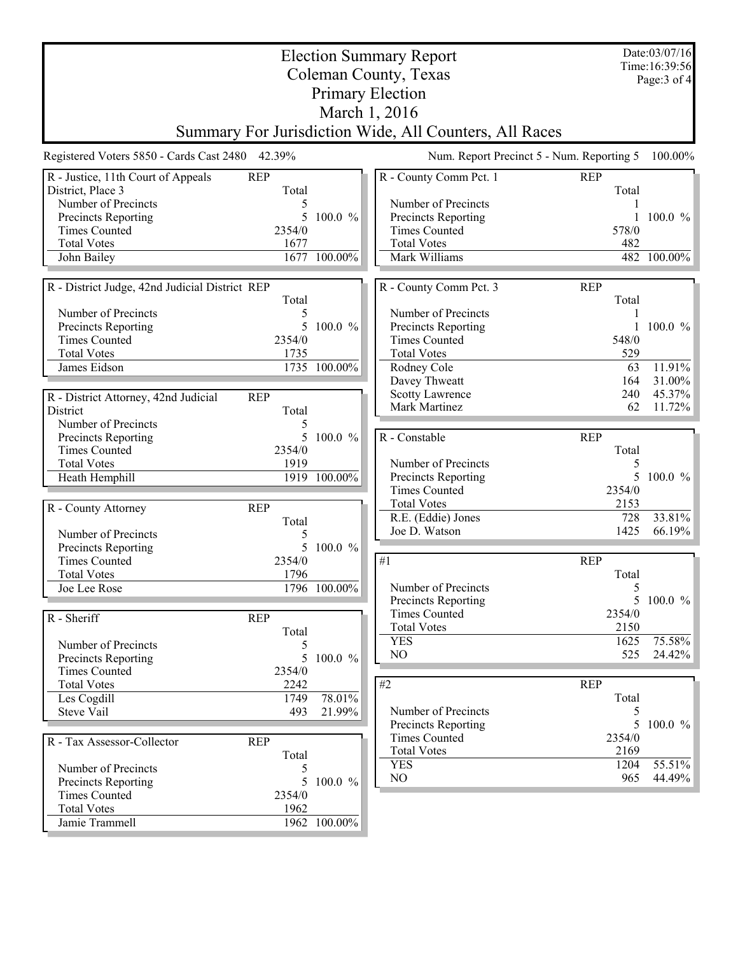| Date:03/07/16<br><b>Election Summary Report</b><br>Time: 16:39:56<br>Coleman County, Texas<br><b>Primary Election</b>                                                 |                                                   |                                                                                                                                                           |                                      |  |  |  |  |
|-----------------------------------------------------------------------------------------------------------------------------------------------------------------------|---------------------------------------------------|-----------------------------------------------------------------------------------------------------------------------------------------------------------|--------------------------------------|--|--|--|--|
| March 1, 2016<br>Summary For Jurisdiction Wide, All Counters, All Races                                                                                               |                                                   |                                                                                                                                                           |                                      |  |  |  |  |
| Registered Voters 5850 - Cards Cast 2480 42.39%                                                                                                                       |                                                   | Num. Report Precinct 5 - Num. Reporting 5                                                                                                                 | 100.00%                              |  |  |  |  |
| <b>REP</b><br>R - Justice, 11th Court of Appeals<br>Total<br>District, Place 3<br>Number of Precincts                                                                 | 5                                                 | R - County Comm Pct. 1<br><b>REP</b><br>Total<br>Number of Precincts                                                                                      |                                      |  |  |  |  |
| Precincts Reporting<br><b>Times Counted</b><br>2354/0<br><b>Total Votes</b><br>1677<br>John Bailey                                                                    | $100.0 \%$<br>5.<br>1677 100.00%                  | Precincts Reporting<br><b>Times Counted</b><br>578/0<br><b>Total Votes</b><br>482<br>Mark Williams                                                        | $100.0 \%$<br>482 100.00%            |  |  |  |  |
|                                                                                                                                                                       |                                                   |                                                                                                                                                           |                                      |  |  |  |  |
| R - District Judge, 42nd Judicial District REP<br>Total<br>Number of Precincts<br>Precincts Reporting<br><b>Times Counted</b><br>2354/0<br><b>Total Votes</b><br>1735 | 5<br>5<br>100.0 %                                 | R - County Comm Pct. 3<br><b>REP</b><br>Total<br>Number of Precincts<br>Precincts Reporting<br><b>Times Counted</b><br>548/0<br><b>Total Votes</b><br>529 | 1 100.0 $%$                          |  |  |  |  |
| James Eidson<br>R - District Attorney, 42nd Judicial<br><b>REP</b>                                                                                                    | 1735 100.00%                                      | Rodney Cole<br>63<br>Davey Thweatt<br>164<br><b>Scotty Lawrence</b><br>240<br>Mark Martinez<br>62                                                         | 11.91%<br>31.00%<br>45.37%<br>11.72% |  |  |  |  |
| Total<br>District<br>Number of Precincts<br>Precincts Reporting<br><b>Times Counted</b><br>2354/0<br><b>Total Votes</b><br>1919<br>Heath Hemphill                     | 5<br>5 <sup>5</sup><br>$100.0 \%$<br>1919 100.00% | R - Constable<br><b>REP</b><br>Total<br>Number of Precincts<br>5<br>Precincts Reporting                                                                   | $100.0 \%$                           |  |  |  |  |
| <b>REP</b><br>R - County Attorney<br>Total<br>Number of Precincts                                                                                                     | 5                                                 | <b>Times Counted</b><br>2354/0<br><b>Total Votes</b><br>2153<br>R.E. (Eddie) Jones<br>728<br>1425<br>Joe D. Watson                                        | 33.81%<br>66.19%                     |  |  |  |  |
| Precincts Reporting<br><b>Times Counted</b><br>2354/0<br>1796<br><b>Total Votes</b><br>Joe Lee Rose                                                                   | 5<br>100.0 %<br>1796 100.00%                      | #1<br><b>REP</b><br>Total<br>Number of Precincts<br>5                                                                                                     |                                      |  |  |  |  |
| R - Sheriff<br><b>REP</b><br>Total<br>Number of Precincts                                                                                                             | 5                                                 | Precincts Reporting<br><b>Times Counted</b><br>2354/0<br><b>Total Votes</b><br>2150<br><b>YES</b><br>1625<br>NO<br>525                                    | 5 100.0 %<br>75.58%<br>24.42%        |  |  |  |  |
| Precincts Reporting<br><b>Times Counted</b><br>2354/0<br><b>Total Votes</b><br>2242<br>Les Cogdill<br>1749<br>Steve Vail<br>493                                       | 100.0 %<br>5<br>78.01%<br>21.99%                  | #2<br><b>REP</b><br>Total<br>Number of Precincts<br>5                                                                                                     |                                      |  |  |  |  |
| <b>REP</b><br>R - Tax Assessor-Collector<br>Total<br>Number of Precincts                                                                                              | 5                                                 | 5<br>Precincts Reporting<br><b>Times Counted</b><br>2354/0<br><b>Total Votes</b><br>2169<br><b>YES</b><br>1204                                            | $100.0 \%$<br>55.51%                 |  |  |  |  |
| Precincts Reporting<br><b>Times Counted</b><br>2354/0<br><b>Total Votes</b><br>1962<br>Jamie Trammell                                                                 | 5<br>100.0 %<br>1962 100.00%                      | $NO$<br>965                                                                                                                                               | 44.49%                               |  |  |  |  |